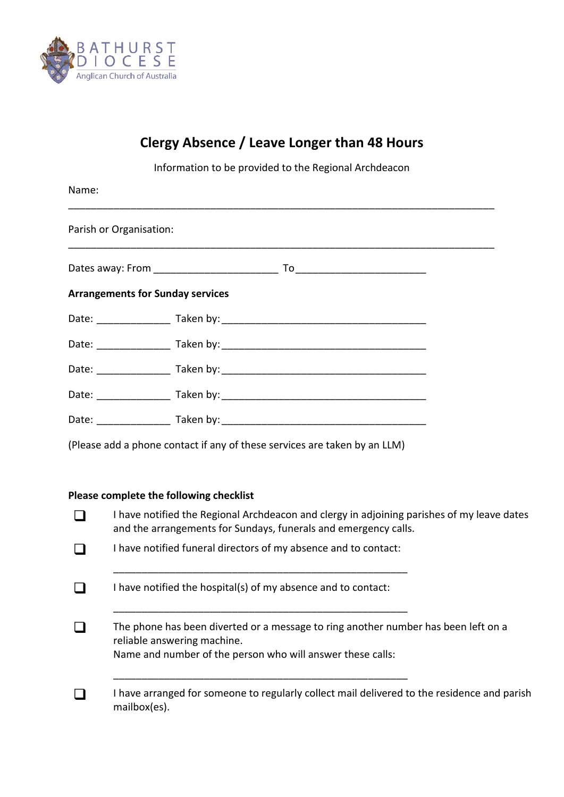

## **Clergy Absence / Leave Longer than 48 Hours**

Information to be provided to the Regional Archdeacon

| Name:                                   |                                                                           |  |  |
|-----------------------------------------|---------------------------------------------------------------------------|--|--|
| Parish or Organisation:                 |                                                                           |  |  |
|                                         |                                                                           |  |  |
| <b>Arrangements for Sunday services</b> |                                                                           |  |  |
|                                         |                                                                           |  |  |
|                                         |                                                                           |  |  |
|                                         |                                                                           |  |  |
|                                         |                                                                           |  |  |
|                                         |                                                                           |  |  |
|                                         | (Please add a phone contact if any of these services are taken by an LLM) |  |  |

## **Please complete the following checklist**

| I have notified the Regional Archdeacon and clergy in adjoining parishes of my leave dates<br>and the arrangements for Sundays, funerals and emergency calls. |
|---------------------------------------------------------------------------------------------------------------------------------------------------------------|
| I have notified funeral directors of my absence and to contact:                                                                                               |
| I have notified the hospital(s) of my absence and to contact:                                                                                                 |
| The phone has been diverted or a message to ring another number has been left on a<br>reliable answering machine.                                             |
| Name and number of the person who will answer these calls:                                                                                                    |
| I have arranged for someone to regularly collect mail delivered to the residence and parish<br>mailbox(es).                                                   |